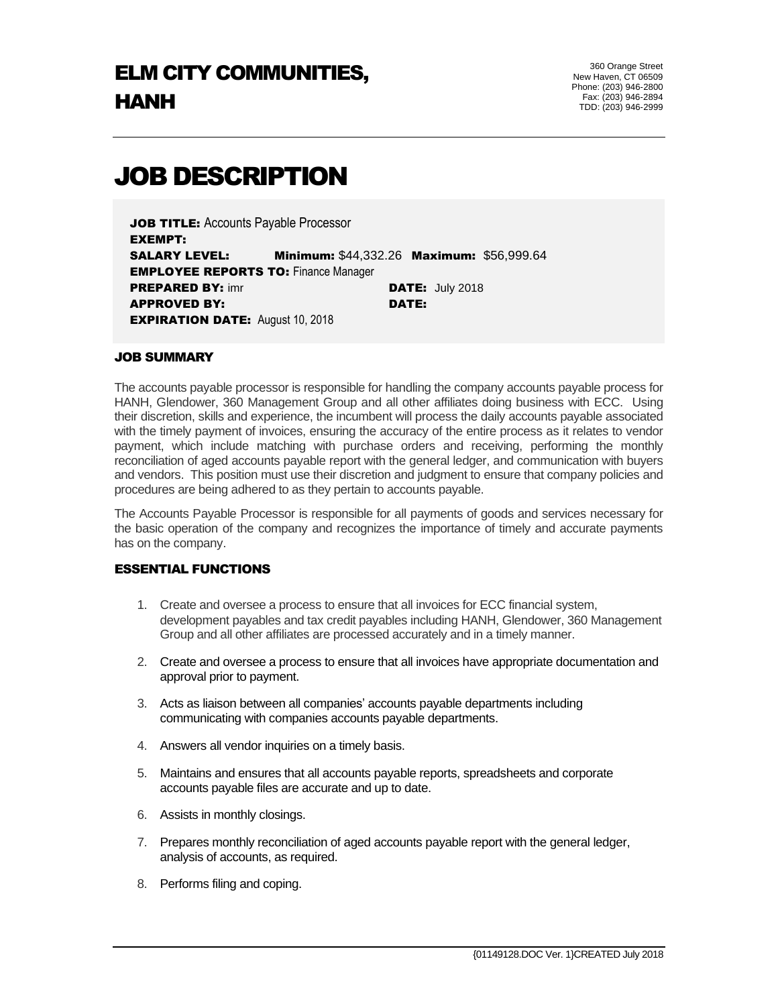# JOB DESCRIPTION

JOB TITLE: Accounts Payable Processor EXEMPT: SALARY LEVEL: Minimum: \$44,332.26 Maximum: \$56,999.64 **EMPLOYEE REPORTS TO: Finance Manager PREPARED BY:** imr **DATE:** July 2018 APPROVED BY: DATE: **EXPIRATION DATE: August 10, 2018** 

#### JOB SUMMARY

The accounts payable processor is responsible for handling the company accounts payable process for HANH, Glendower, 360 Management Group and all other affiliates doing business with ECC. Using their discretion, skills and experience, the incumbent will process the daily accounts payable associated with the timely payment of invoices, ensuring the accuracy of the entire process as it relates to vendor payment, which include matching with purchase orders and receiving, performing the monthly reconciliation of aged accounts payable report with the general ledger, and communication with buyers and vendors. This position must use their discretion and judgment to ensure that company policies and procedures are being adhered to as they pertain to accounts payable.

The Accounts Payable Processor is responsible for all payments of goods and services necessary for the basic operation of the company and recognizes the importance of timely and accurate payments has on the company.

### ESSENTIAL FUNCTIONS

- 1. Create and oversee a process to ensure that all invoices for ECC financial system, development payables and tax credit payables including HANH, Glendower, 360 Management Group and all other affiliates are processed accurately and in a timely manner.
- 2. Create and oversee a process to ensure that all invoices have appropriate documentation and approval prior to payment.
- 3. Acts as liaison between all companies' accounts payable departments including communicating with companies accounts payable departments.
- 4. Answers all vendor inquiries on a timely basis.
- 5. Maintains and ensures that all accounts payable reports, spreadsheets and corporate accounts payable files are accurate and up to date.
- 6. Assists in monthly closings.
- 7. Prepares monthly reconciliation of aged accounts payable report with the general ledger, analysis of accounts, as required.
- 8. Performs filing and coping.